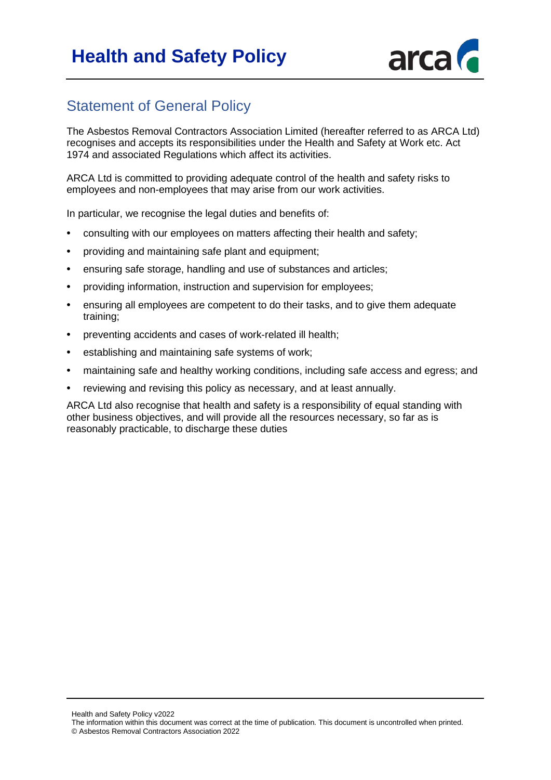# **Health and Safety Policy**



# Statement of General Policy

The Asbestos Removal Contractors Association Limited (hereafter referred to as ARCA Ltd) recognises and accepts its responsibilities under the Health and Safety at Work etc. Act 1974 and associated Regulations which affect its activities.

ARCA Ltd is committed to providing adequate control of the health and safety risks to employees and non-employees that may arise from our work activities.

In particular, we recognise the legal duties and benefits of:

- consulting with our employees on matters affecting their health and safety;
- providing and maintaining safe plant and equipment;
- ensuring safe storage, handling and use of substances and articles;
- providing information, instruction and supervision for employees;
- ensuring all employees are competent to do their tasks, and to give them adequate training;
- preventing accidents and cases of work-related ill health;
- establishing and maintaining safe systems of work;
- maintaining safe and healthy working conditions, including safe access and egress; and
- reviewing and revising this policy as necessary, and at least annually.

ARCA Ltd also recognise that health and safety is a responsibility of equal standing with other business objectives, and will provide all the resources necessary, so far as is reasonably practicable, to discharge these duties

Health and Safety Policy v2022

The information within this document was correct at the time of publication. This document is uncontrolled when printed. © Asbestos Removal Contractors Association 2022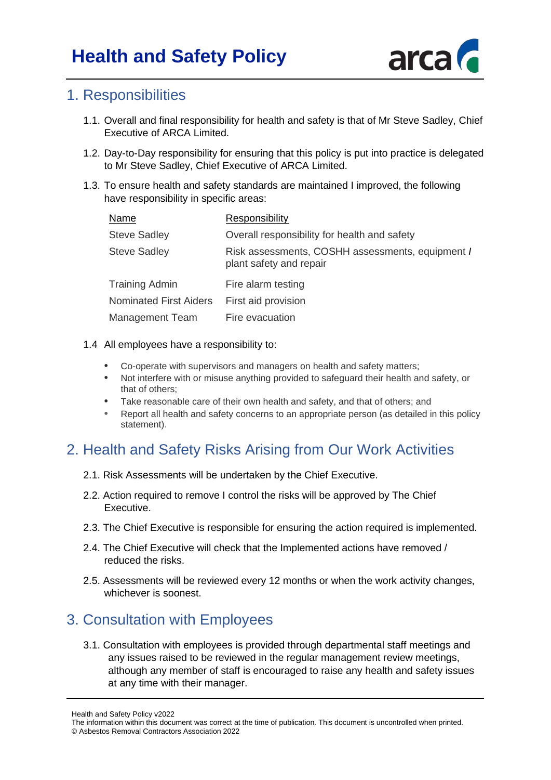

#### 1. Responsibilities

- 1.1. Overall and final responsibility for health and safety is that of Mr Steve Sadley, Chief Executive of ARCA Limited.
- 1.2. Day-to-Day responsibility for ensuring that this policy is put into practice is delegated to Mr Steve Sadley, Chief Executive of ARCA Limited.
- 1.3. To ensure health and safety standards are maintained I improved, the following have responsibility in specific areas:

| Name                          | Responsibility                                                              |
|-------------------------------|-----------------------------------------------------------------------------|
| <b>Steve Sadley</b>           | Overall responsibility for health and safety                                |
| <b>Steve Sadley</b>           | Risk assessments, COSHH assessments, equipment /<br>plant safety and repair |
| Training Admin                | Fire alarm testing                                                          |
| <b>Nominated First Aiders</b> | First aid provision                                                         |
| Management Team               | Fire evacuation                                                             |
|                               |                                                                             |

#### 1.4 All employees have a responsibility to:

- Co-operate with supervisors and managers on health and safety matters;
- Not interfere with or misuse anything provided to safeguard their health and safety, or that of others;
- Take reasonable care of their own health and safety, and that of others; and
- Report all health and safety concerns to an appropriate person (as detailed in this policy statement).

# 2. Health and Safety Risks Arising from Our Work Activities

- 2.1. Risk Assessments will be undertaken by the Chief Executive.
- 2.2. Action required to remove I control the risks will be approved by The Chief Executive.
- 2.3. The Chief Executive is responsible for ensuring the action required is implemented.
- 2.4. The Chief Executive will check that the Implemented actions have removed / reduced the risks.
- 2.5. Assessments will be reviewed every 12 months or when the work activity changes, whichever is soonest.

#### 3. Consultation with Employees

3.1. Consultation with employees is provided through departmental staff meetings and any issues raised to be reviewed in the regular management review meetings, although any member of staff is encouraged to raise any health and safety issues at any time with their manager.

Health and Safety Policy v2022

The information within this document was correct at the time of publication. This document is uncontrolled when printed. © Asbestos Removal Contractors Association 2022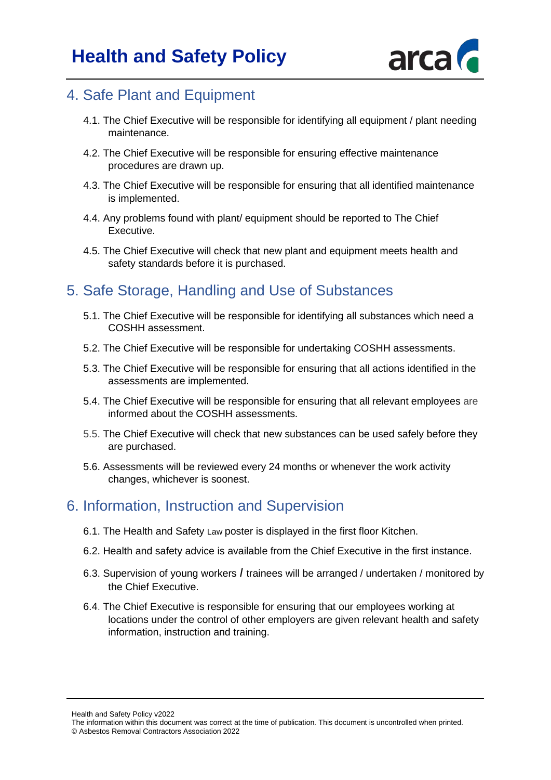

### 4. Safe Plant and Equipment

- 4.1. The Chief Executive will be responsible for identifying all equipment / plant needing maintenance.
- 4.2. The Chief Executive will be responsible for ensuring effective maintenance procedures are drawn up.
- 4.3. The Chief Executive will be responsible for ensuring that all identified maintenance is implemented.
- 4.4. Any problems found with plant/ equipment should be reported to The Chief Executive.
- 4.5. The Chief Executive will check that new plant and equipment meets health and safety standards before it is purchased.

### 5. Safe Storage, Handling and Use of Substances

- 5.1. The Chief Executive will be responsible for identifying all substances which need a COSHH assessment.
- 5.2. The Chief Executive will be responsible for undertaking COSHH assessments.
- 5.3. The Chief Executive will be responsible for ensuring that all actions identified in the assessments are implemented.
- 5.4. The Chief Executive will be responsible for ensuring that all relevant employees are informed about the COSHH assessments.
- 5.5. The Chief Executive will check that new substances can be used safely before they are purchased.
- 5.6. Assessments will be reviewed every 24 months or whenever the work activity changes, whichever is soonest.

#### 6. Information, Instruction and Supervision

- 6.1. The Health and Safety Law poster is displayed in the first floor Kitchen.
- 6.2. Health and safety advice is available from the Chief Executive in the first instance.
- 6.3. Supervision of young workers *I* trainees will be arranged / undertaken / monitored by the Chief Executive.
- 6.4. The Chief Executive is responsible for ensuring that our employees working at locations under the control of other employers are given relevant health and safety information, instruction and training.

Health and Safety Policy v2022

The information within this document was correct at the time of publication. This document is uncontrolled when printed. © Asbestos Removal Contractors Association 2022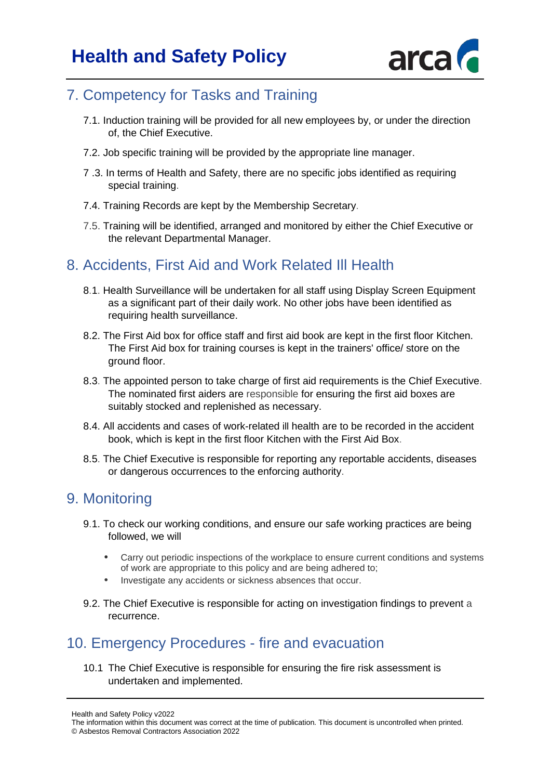

### 7. Competency for Tasks and Training

- 7.1. Induction training will be provided for all new employees by, or under the direction of, the Chief Executive.
- 7.2. Job specific training will be provided by the appropriate line manager.
- 7 .3. In terms of Health and Safety, there are no specific jobs identified as requiring special training.
- 7.4. Training Records are kept by the Membership Secretary.
- 7.5. Training will be identified, arranged and monitored by either the Chief Executive or the relevant Departmental Manager.

# 8. Accidents, First Aid and Work Related Ill Health

- 8.1. Health Surveillance will be undertaken for all staff using Display Screen Equipment as a significant part of their daily work. No other jobs have been identified as requiring health surveillance.
- 8.2. The First Aid box for office staff and first aid book are kept in the first floor Kitchen. The First Aid box for training courses is kept in the trainers' office/ store on the ground floor.
- 8.3. The appointed person to take charge of first aid requirements is the Chief Executive. The nominated first aiders are responsible for ensuring the first aid boxes are suitably stocked and replenished as necessary.
- 8.4. All accidents and cases of work-related ill health are to be recorded in the accident book, which is kept in the first floor Kitchen with the First Aid Box.
- 8.5. The Chief Executive is responsible for reporting any reportable accidents, diseases or dangerous occurrences to the enforcing authority.

### 9. Monitoring

- 9.1. To check our working conditions, and ensure our safe working practices are being followed, we will
	- Carry out periodic inspections of the workplace to ensure current conditions and systems of work are appropriate to this policy and are being adhered to;
	- Investigate any accidents or sickness absences that occur.
- 9.2. The Chief Executive is responsible for acting on investigation findings to prevent a recurrence.

### 10. Emergency Procedures - fire and evacuation

10.1 The Chief Executive is responsible for ensuring the fire risk assessment is undertaken and implemented.

Health and Safety Policy v2022

The information within this document was correct at the time of publication. This document is uncontrolled when printed. © Asbestos Removal Contractors Association 2022